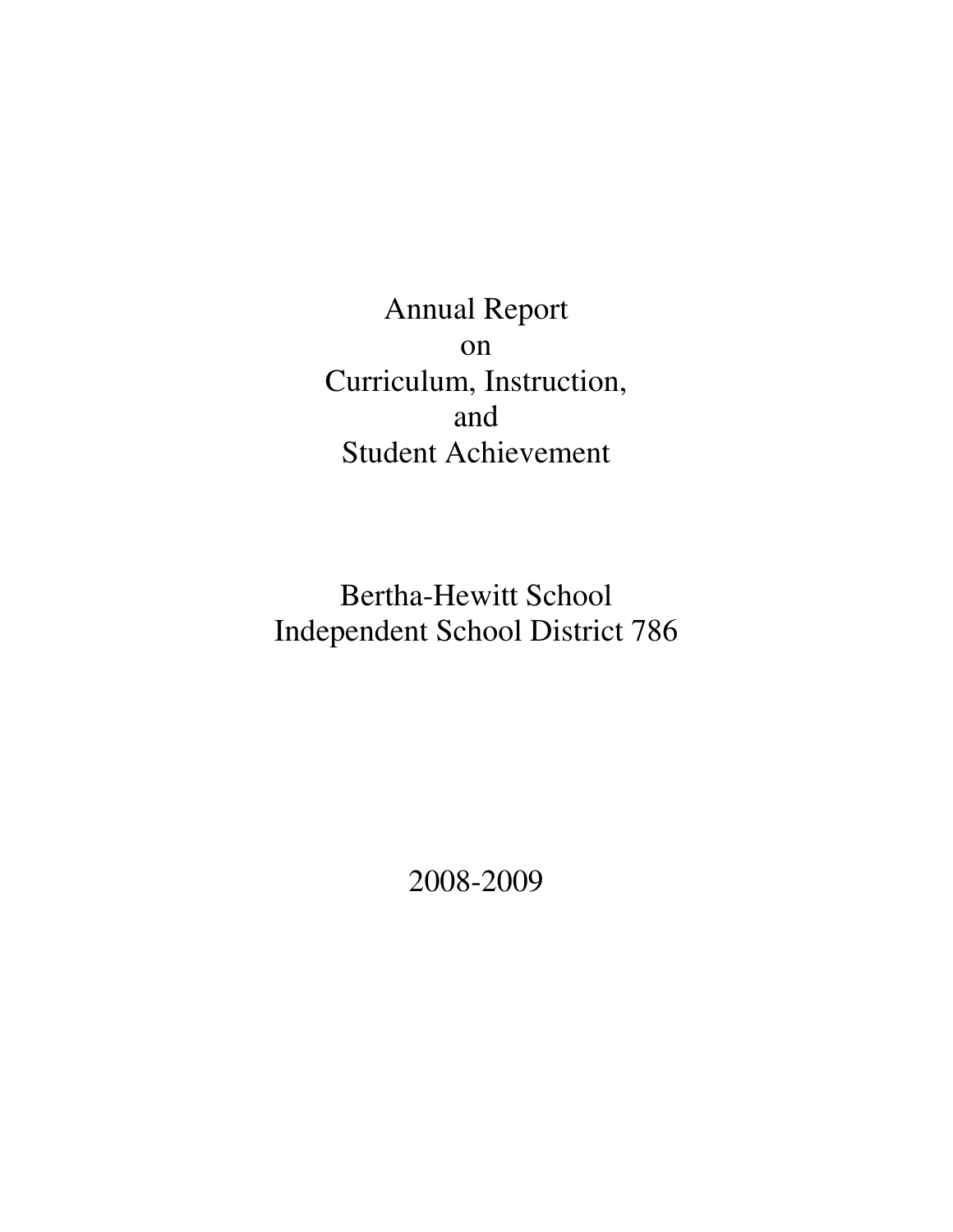Annual Report on Curriculum, Instruction, and Student Achievement

Bertha-Hewitt School Independent School District 786

2008-2009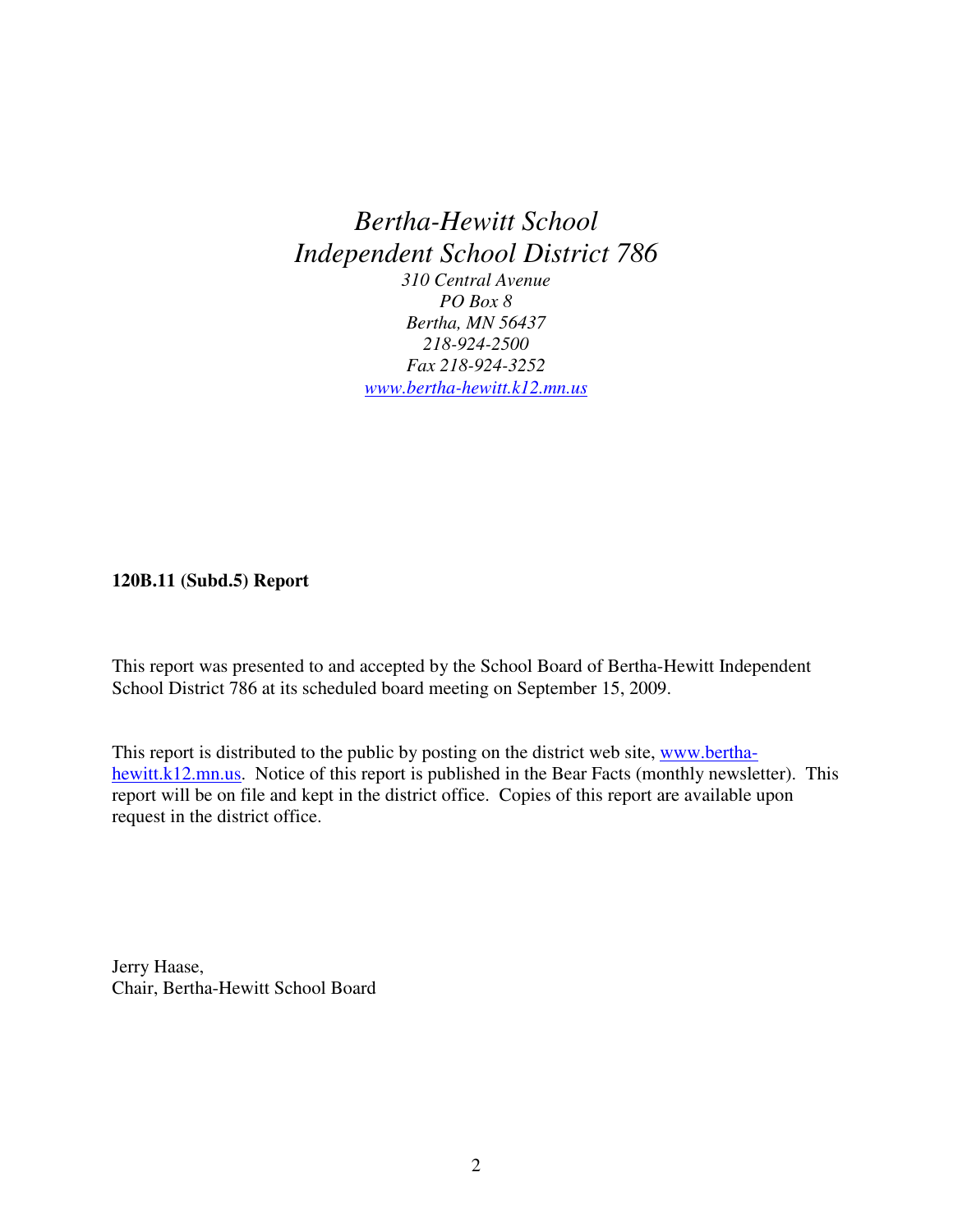*Bertha-Hewitt School Independent School District 786 310 Central Avenue PO Box 8 Bertha, MN 56437 218-924-2500 Fax 218-924-3252 www.bertha-hewitt.k12.mn.us*

**120B.11 (Subd.5) Report** 

This report was presented to and accepted by the School Board of Bertha-Hewitt Independent School District 786 at its scheduled board meeting on September 15, 2009.

This report is distributed to the public by posting on the district web site, www.berthahewitt.k12.mn.us. Notice of this report is published in the Bear Facts (monthly newsletter). This report will be on file and kept in the district office. Copies of this report are available upon request in the district office.

Jerry Haase, Chair, Bertha-Hewitt School Board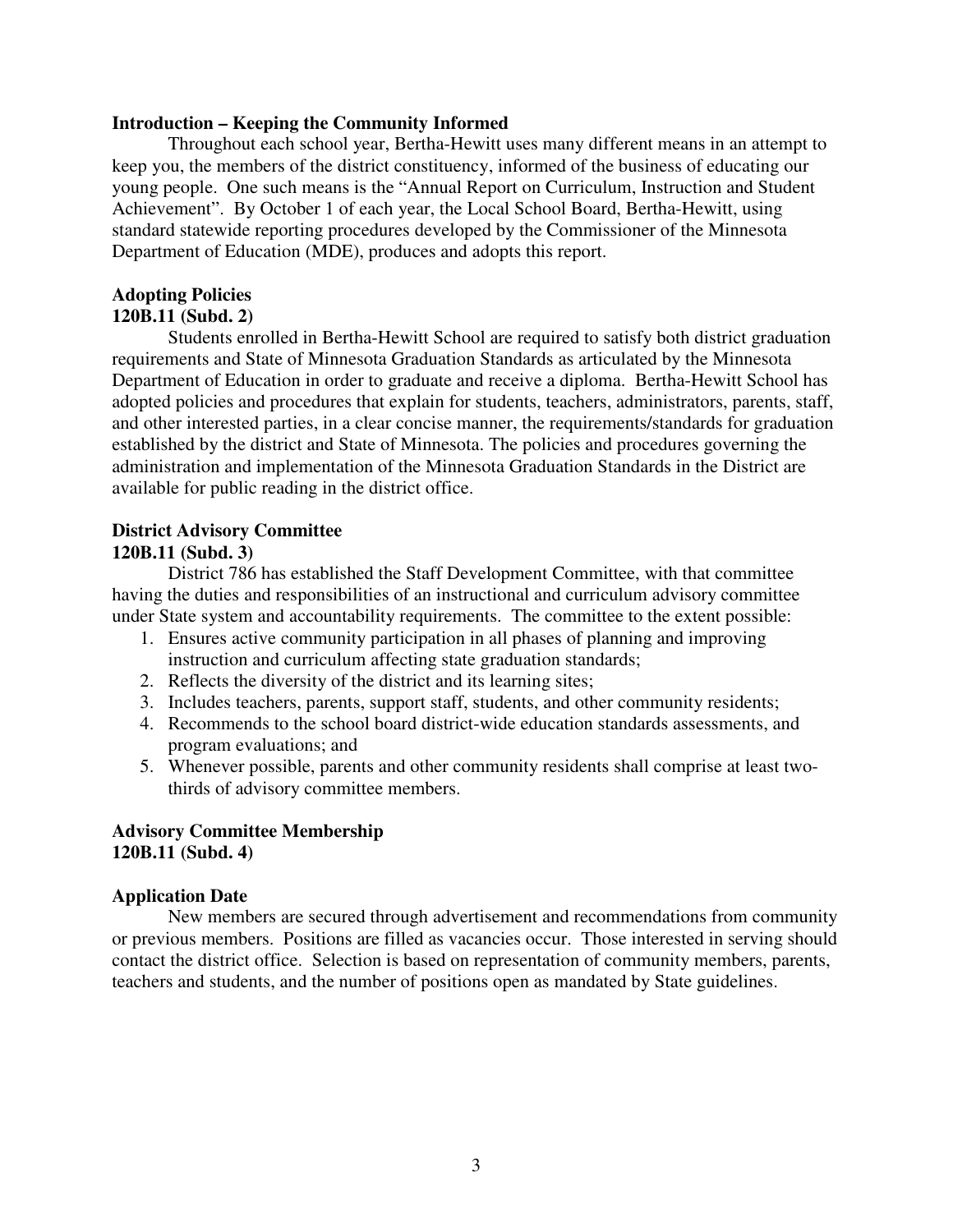#### **Introduction – Keeping the Community Informed**

 Throughout each school year, Bertha-Hewitt uses many different means in an attempt to keep you, the members of the district constituency, informed of the business of educating our young people. One such means is the "Annual Report on Curriculum, Instruction and Student Achievement". By October 1 of each year, the Local School Board, Bertha-Hewitt, using standard statewide reporting procedures developed by the Commissioner of the Minnesota Department of Education (MDE), produces and adopts this report.

#### **Adopting Policies 120B.11 (Subd. 2)**

 Students enrolled in Bertha-Hewitt School are required to satisfy both district graduation requirements and State of Minnesota Graduation Standards as articulated by the Minnesota Department of Education in order to graduate and receive a diploma. Bertha-Hewitt School has adopted policies and procedures that explain for students, teachers, administrators, parents, staff, and other interested parties, in a clear concise manner, the requirements/standards for graduation established by the district and State of Minnesota. The policies and procedures governing the administration and implementation of the Minnesota Graduation Standards in the District are available for public reading in the district office.

# **District Advisory Committee**

## **120B.11 (Subd. 3)**

 District 786 has established the Staff Development Committee, with that committee having the duties and responsibilities of an instructional and curriculum advisory committee under State system and accountability requirements. The committee to the extent possible:

- 1. Ensures active community participation in all phases of planning and improving instruction and curriculum affecting state graduation standards;
- 2. Reflects the diversity of the district and its learning sites;
- 3. Includes teachers, parents, support staff, students, and other community residents;
- 4. Recommends to the school board district-wide education standards assessments, and program evaluations; and
- 5. Whenever possible, parents and other community residents shall comprise at least twothirds of advisory committee members.

## **Advisory Committee Membership 120B.11 (Subd. 4)**

## **Application Date**

New members are secured through advertisement and recommendations from community or previous members. Positions are filled as vacancies occur. Those interested in serving should contact the district office. Selection is based on representation of community members, parents, teachers and students, and the number of positions open as mandated by State guidelines.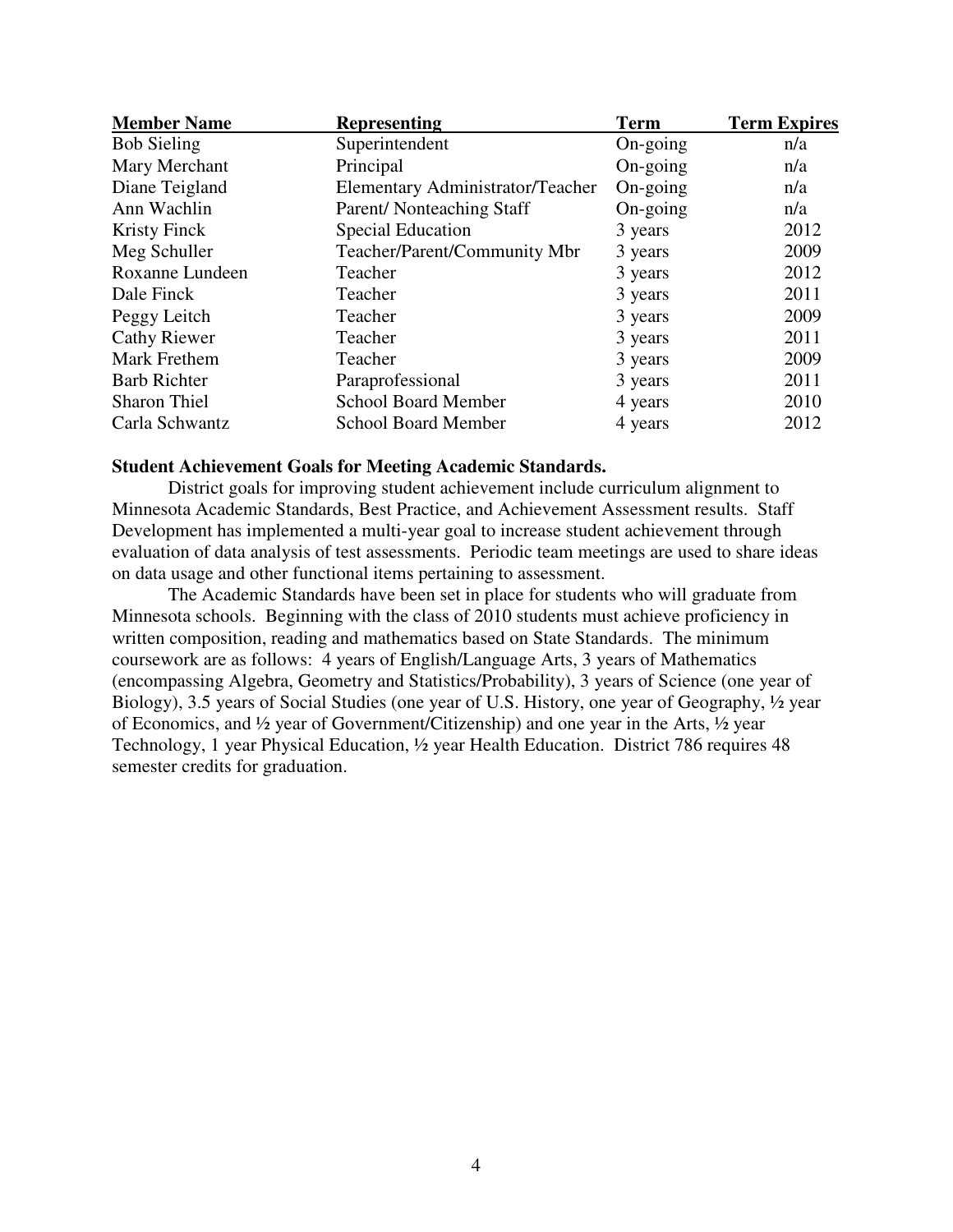| <b>Representing</b>              | <b>Term</b>       | <b>Term Expires</b> |
|----------------------------------|-------------------|---------------------|
| Superintendent                   | $On\text{-going}$ | n/a                 |
| Principal                        | On-going          | n/a                 |
| Elementary Administrator/Teacher | $On\text{-going}$ | n/a                 |
| Parent/Nonteaching Staff         | On-going          | n/a                 |
| <b>Special Education</b>         | 3 years           | 2012                |
| Teacher/Parent/Community Mbr     | 3 years           | 2009                |
| Teacher                          | 3 years           | 2012                |
| Teacher                          | 3 years           | 2011                |
| Teacher                          | 3 years           | 2009                |
| Teacher                          | 3 years           | 2011                |
| Teacher                          | 3 years           | 2009                |
| Paraprofessional                 | 3 years           | 2011                |
| <b>School Board Member</b>       | 4 years           | 2010                |
| <b>School Board Member</b>       | 4 years           | 2012                |
|                                  |                   |                     |

#### **Student Achievement Goals for Meeting Academic Standards.**

District goals for improving student achievement include curriculum alignment to Minnesota Academic Standards, Best Practice, and Achievement Assessment results. Staff Development has implemented a multi-year goal to increase student achievement through evaluation of data analysis of test assessments. Periodic team meetings are used to share ideas on data usage and other functional items pertaining to assessment.

 The Academic Standards have been set in place for students who will graduate from Minnesota schools. Beginning with the class of 2010 students must achieve proficiency in written composition, reading and mathematics based on State Standards. The minimum coursework are as follows: 4 years of English/Language Arts, 3 years of Mathematics (encompassing Algebra, Geometry and Statistics/Probability), 3 years of Science (one year of Biology), 3.5 years of Social Studies (one year of U.S. History, one year of Geography, ½ year of Economics, and ½ year of Government/Citizenship) and one year in the Arts, ½ year Technology, 1 year Physical Education, ½ year Health Education. District 786 requires 48 semester credits for graduation.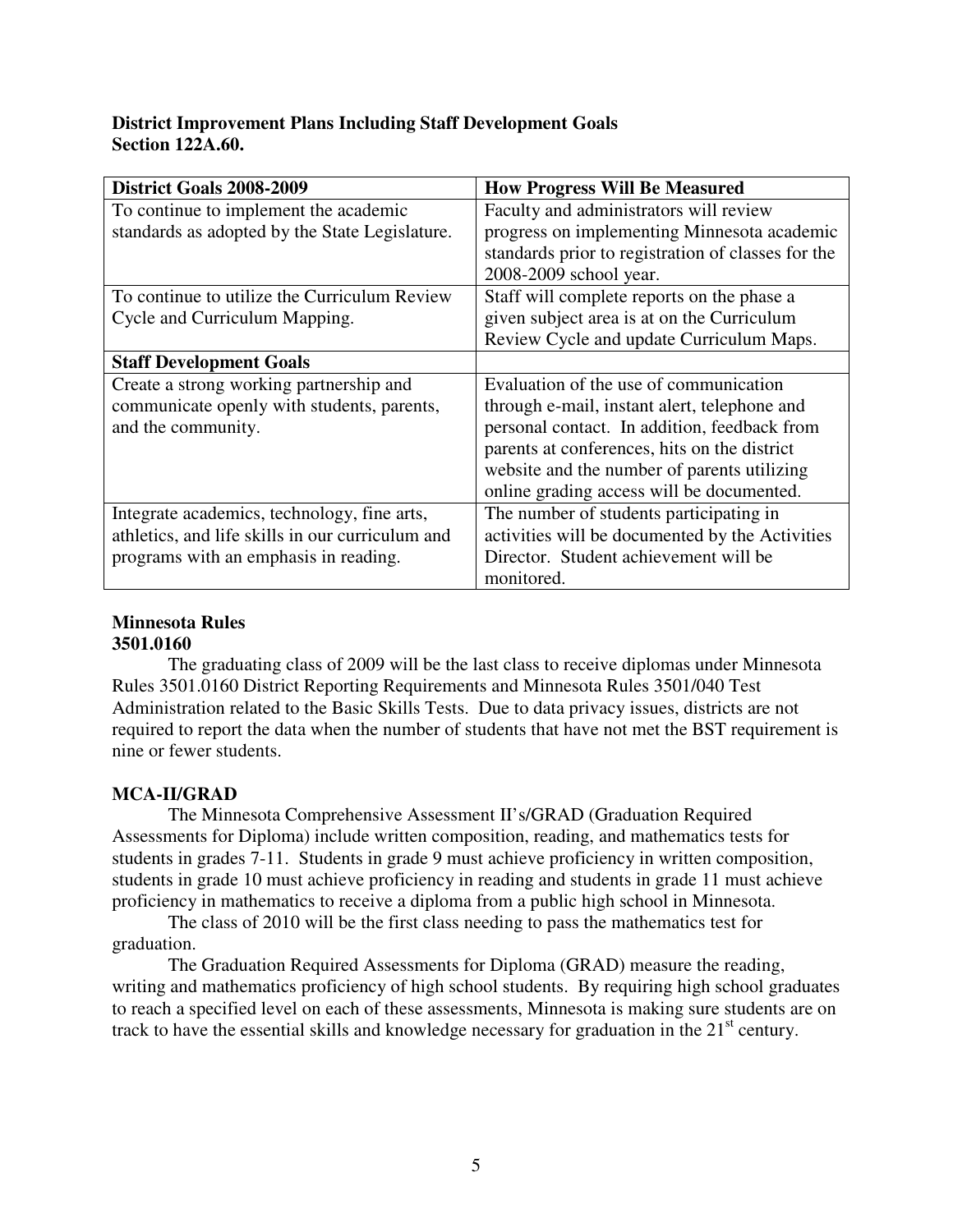## **District Improvement Plans Including Staff Development Goals Section 122A.60.**

| <b>District Goals 2008-2009</b>                  | <b>How Progress Will Be Measured</b>               |
|--------------------------------------------------|----------------------------------------------------|
| To continue to implement the academic            | Faculty and administrators will review             |
| standards as adopted by the State Legislature.   | progress on implementing Minnesota academic        |
|                                                  | standards prior to registration of classes for the |
|                                                  | 2008-2009 school year.                             |
| To continue to utilize the Curriculum Review     | Staff will complete reports on the phase a         |
| Cycle and Curriculum Mapping.                    | given subject area is at on the Curriculum         |
|                                                  | Review Cycle and update Curriculum Maps.           |
| <b>Staff Development Goals</b>                   |                                                    |
| Create a strong working partnership and          | Evaluation of the use of communication             |
| communicate openly with students, parents,       | through e-mail, instant alert, telephone and       |
| and the community.                               | personal contact. In addition, feedback from       |
|                                                  | parents at conferences, hits on the district       |
|                                                  | website and the number of parents utilizing        |
|                                                  | online grading access will be documented.          |
| Integrate academics, technology, fine arts,      | The number of students participating in            |
| athletics, and life skills in our curriculum and | activities will be documented by the Activities    |
| programs with an emphasis in reading.            | Director. Student achievement will be              |
|                                                  | monitored.                                         |

## **Minnesota Rules 3501.0160**

 The graduating class of 2009 will be the last class to receive diplomas under Minnesota Rules 3501.0160 District Reporting Requirements and Minnesota Rules 3501/040 Test Administration related to the Basic Skills Tests. Due to data privacy issues, districts are not required to report the data when the number of students that have not met the BST requirement is nine or fewer students.

# **MCA-II/GRAD**

The Minnesota Comprehensive Assessment II's/GRAD (Graduation Required Assessments for Diploma) include written composition, reading, and mathematics tests for students in grades 7-11. Students in grade 9 must achieve proficiency in written composition, students in grade 10 must achieve proficiency in reading and students in grade 11 must achieve proficiency in mathematics to receive a diploma from a public high school in Minnesota.

The class of 2010 will be the first class needing to pass the mathematics test for graduation.

The Graduation Required Assessments for Diploma (GRAD) measure the reading, writing and mathematics proficiency of high school students. By requiring high school graduates to reach a specified level on each of these assessments, Minnesota is making sure students are on track to have the essential skills and knowledge necessary for graduation in the  $21<sup>st</sup>$  century.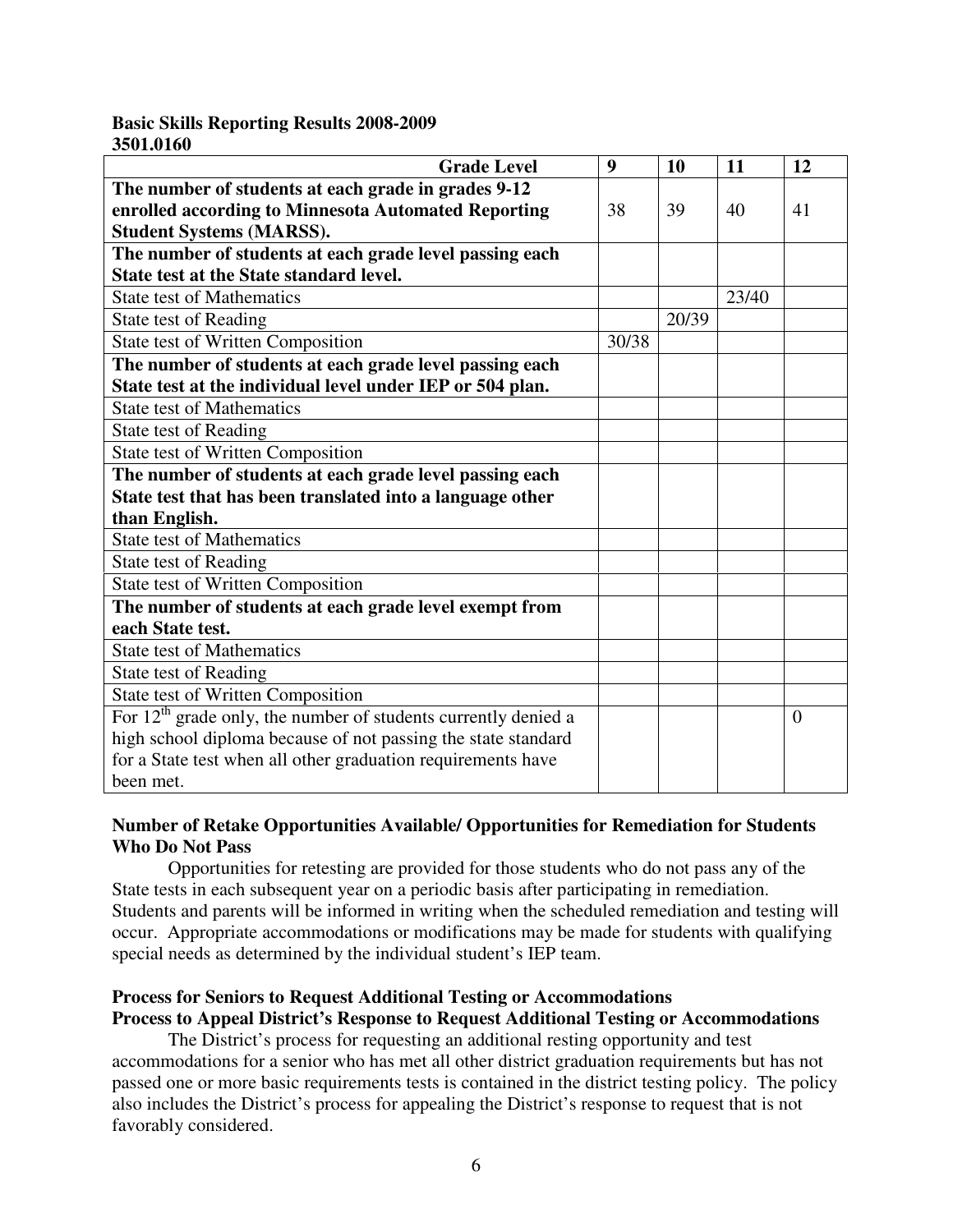#### **Basic Skills Reporting Results 2008-2009 3501.0160**

| <b>Grade Level</b>                                               | 9     | 10    | 11    | 12       |
|------------------------------------------------------------------|-------|-------|-------|----------|
| The number of students at each grade in grades 9-12              |       |       |       |          |
| enrolled according to Minnesota Automated Reporting              | 38    | 39    | 40    | 41       |
| <b>Student Systems (MARSS).</b>                                  |       |       |       |          |
| The number of students at each grade level passing each          |       |       |       |          |
| State test at the State standard level.                          |       |       |       |          |
| <b>State test of Mathematics</b>                                 |       |       | 23/40 |          |
| State test of Reading                                            |       | 20/39 |       |          |
| <b>State test of Written Composition</b>                         | 30/38 |       |       |          |
| The number of students at each grade level passing each          |       |       |       |          |
| State test at the individual level under IEP or 504 plan.        |       |       |       |          |
| <b>State test of Mathematics</b>                                 |       |       |       |          |
| State test of Reading                                            |       |       |       |          |
| State test of Written Composition                                |       |       |       |          |
| The number of students at each grade level passing each          |       |       |       |          |
| State test that has been translated into a language other        |       |       |       |          |
| than English.                                                    |       |       |       |          |
| <b>State test of Mathematics</b>                                 |       |       |       |          |
| <b>State test of Reading</b>                                     |       |       |       |          |
| State test of Written Composition                                |       |       |       |          |
| The number of students at each grade level exempt from           |       |       |       |          |
| each State test.                                                 |       |       |       |          |
| <b>State test of Mathematics</b>                                 |       |       |       |          |
| <b>State test of Reading</b>                                     |       |       |       |          |
| <b>State test of Written Composition</b>                         |       |       |       |          |
| For $12th$ grade only, the number of students currently denied a |       |       |       | $\theta$ |
| high school diploma because of not passing the state standard    |       |       |       |          |
| for a State test when all other graduation requirements have     |       |       |       |          |
| been met.                                                        |       |       |       |          |

## **Number of Retake Opportunities Available/ Opportunities for Remediation for Students Who Do Not Pass**

Opportunities for retesting are provided for those students who do not pass any of the State tests in each subsequent year on a periodic basis after participating in remediation. Students and parents will be informed in writing when the scheduled remediation and testing will occur. Appropriate accommodations or modifications may be made for students with qualifying special needs as determined by the individual student's IEP team.

## **Process for Seniors to Request Additional Testing or Accommodations Process to Appeal District's Response to Request Additional Testing or Accommodations**

 The District's process for requesting an additional resting opportunity and test accommodations for a senior who has met all other district graduation requirements but has not passed one or more basic requirements tests is contained in the district testing policy. The policy also includes the District's process for appealing the District's response to request that is not favorably considered.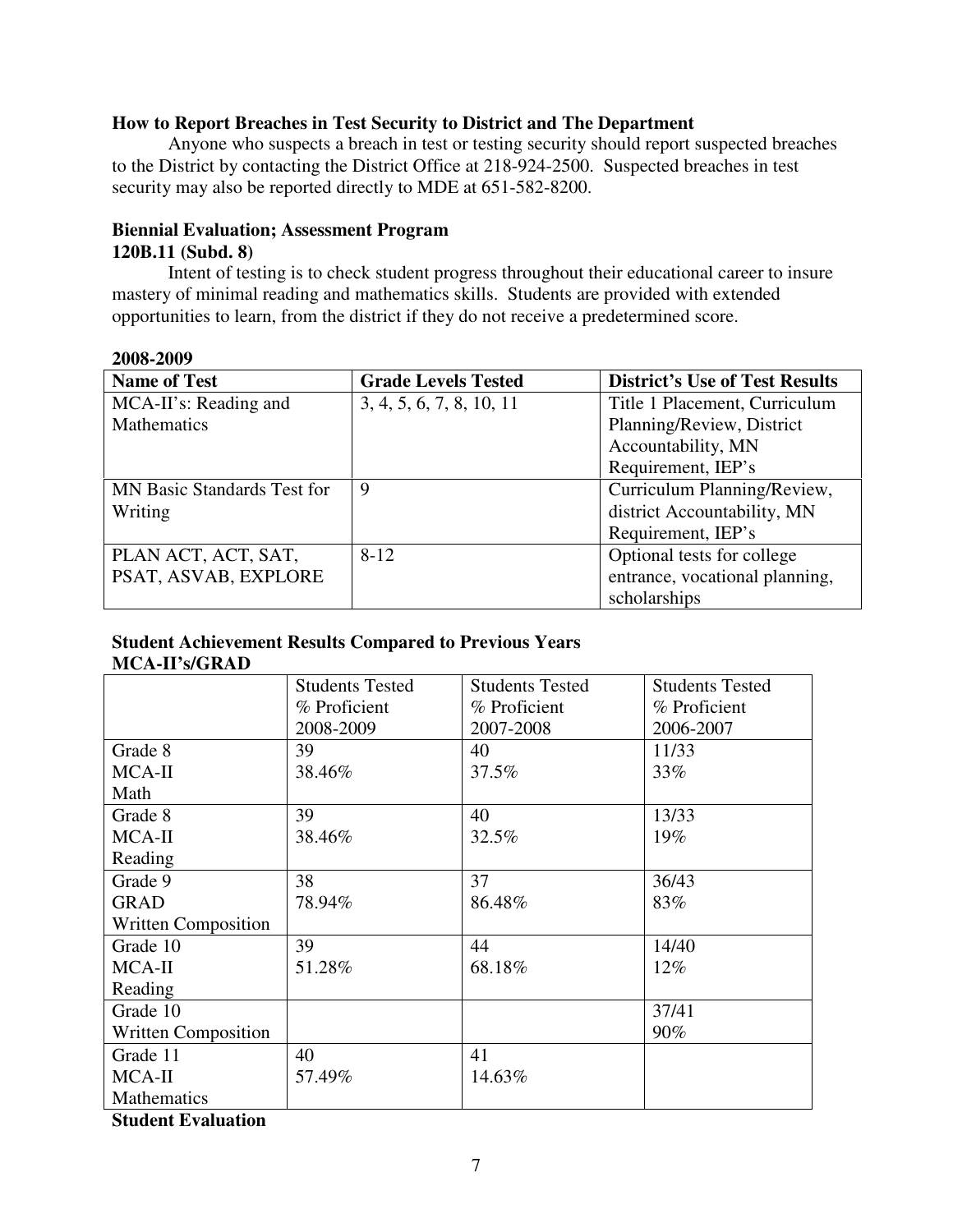## **How to Report Breaches in Test Security to District and The Department**

 Anyone who suspects a breach in test or testing security should report suspected breaches to the District by contacting the District Office at 218-924-2500. Suspected breaches in test security may also be reported directly to MDE at 651-582-8200.

# **Biennial Evaluation; Assessment Program**

# **120B.11 (Subd. 8)**

 Intent of testing is to check student progress throughout their educational career to insure mastery of minimal reading and mathematics skills. Students are provided with extended opportunities to learn, from the district if they do not receive a predetermined score.

#### **2008-2009**

| <b>Name of Test</b>                | <b>Grade Levels Tested</b> | <b>District's Use of Test Results</b> |
|------------------------------------|----------------------------|---------------------------------------|
| MCA-II's: Reading and              | 3, 4, 5, 6, 7, 8, 10, 11   | Title 1 Placement, Curriculum         |
| Mathematics                        |                            | Planning/Review, District             |
|                                    |                            | Accountability, MN                    |
|                                    |                            | Requirement, IEP's                    |
| <b>MN Basic Standards Test for</b> | 9                          | Curriculum Planning/Review,           |
| Writing                            |                            | district Accountability, MN           |
|                                    |                            | Requirement, IEP's                    |
| PLAN ACT, ACT, SAT,                | $8 - 12$                   | Optional tests for college            |
| PSAT, ASVAB, EXPLORE               |                            | entrance, vocational planning,        |
|                                    |                            | scholarships                          |

#### **Student Achievement Results Compared to Previous Years MCA-II's/GRAD**

|                            | <b>Students Tested</b> | <b>Students Tested</b> | <b>Students Tested</b> |
|----------------------------|------------------------|------------------------|------------------------|
|                            | % Proficient           | % Proficient           | % Proficient           |
|                            | 2008-2009              | 2007-2008              | 2006-2007              |
| Grade 8                    | 39                     | 40                     | 11/33                  |
| MCA-II                     | 38.46%                 | 37.5%                  | 33%                    |
| Math                       |                        |                        |                        |
| Grade 8                    | 39                     | 40                     | 13/33                  |
| MCA-II                     | 38.46%                 | 32.5%                  | 19%                    |
| Reading                    |                        |                        |                        |
| Grade 9                    | 38                     | 37                     | 36/43                  |
| <b>GRAD</b>                | 78.94%                 | 86.48%                 | 83%                    |
| <b>Written Composition</b> |                        |                        |                        |
| Grade 10                   | 39                     | 44                     | 14/40                  |
| MCA-II                     | 51.28%                 | 68.18%                 | 12%                    |
| Reading                    |                        |                        |                        |
| Grade 10                   |                        |                        | 37/41                  |
| <b>Written Composition</b> |                        |                        | 90%                    |
| Grade 11                   | 40                     | 41                     |                        |
| MCA-II                     | 57.49%                 | 14.63%                 |                        |
| Mathematics                |                        |                        |                        |

**Student Evaluation**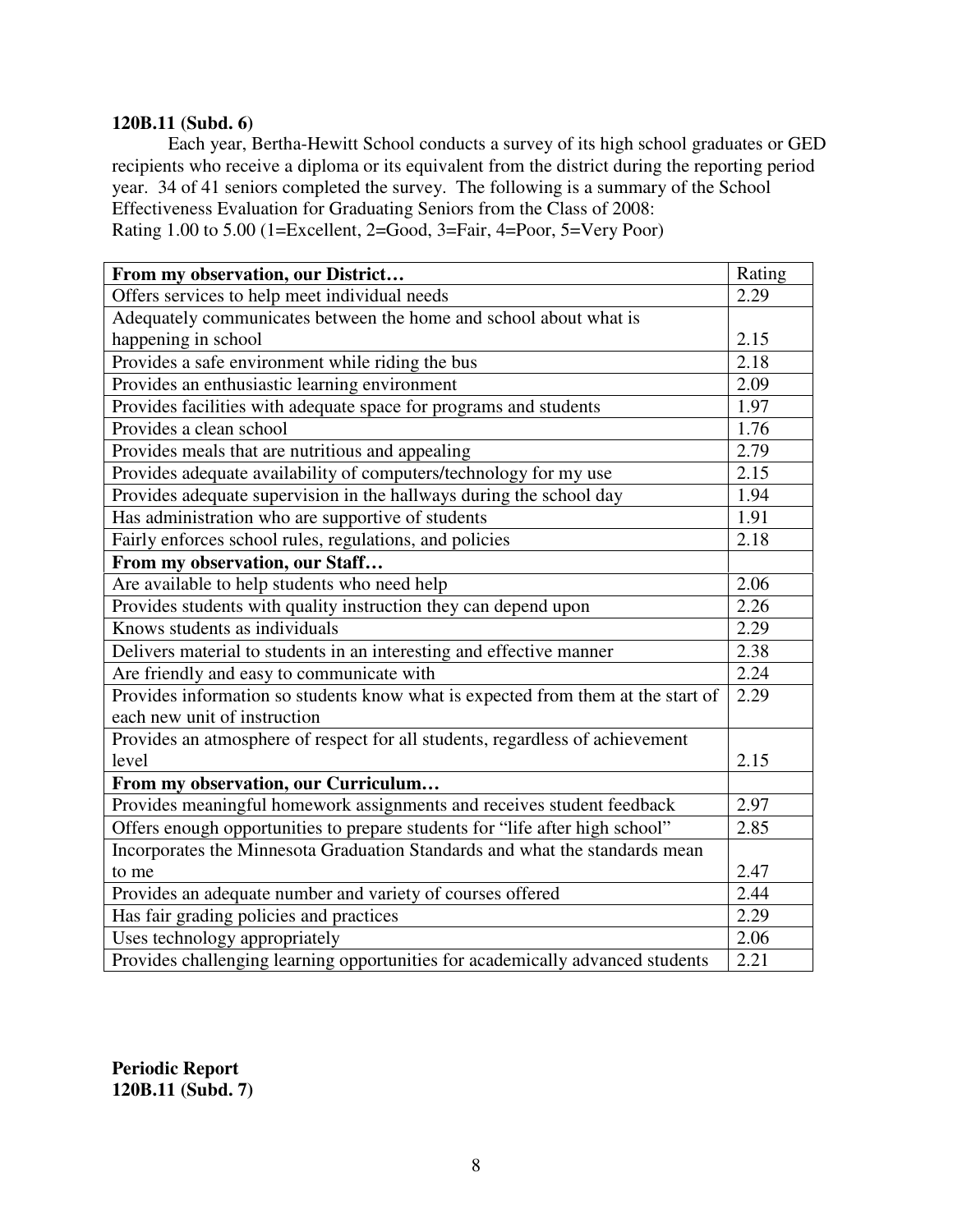## **120B.11 (Subd. 6)**

 Each year, Bertha-Hewitt School conducts a survey of its high school graduates or GED recipients who receive a diploma or its equivalent from the district during the reporting period year. 34 of 41 seniors completed the survey. The following is a summary of the School Effectiveness Evaluation for Graduating Seniors from the Class of 2008: Rating 1.00 to 5.00 (1=Excellent, 2=Good, 3=Fair, 4=Poor, 5=Very Poor)

| From my observation, our District                                                | Rating |
|----------------------------------------------------------------------------------|--------|
| Offers services to help meet individual needs                                    | 2.29   |
| Adequately communicates between the home and school about what is                |        |
| happening in school                                                              | 2.15   |
| Provides a safe environment while riding the bus                                 | 2.18   |
| Provides an enthusiastic learning environment                                    | 2.09   |
| Provides facilities with adequate space for programs and students                | 1.97   |
| Provides a clean school                                                          | 1.76   |
| Provides meals that are nutritious and appealing                                 | 2.79   |
| Provides adequate availability of computers/technology for my use                | 2.15   |
| Provides adequate supervision in the hallways during the school day              | 1.94   |
| Has administration who are supportive of students                                | 1.91   |
| Fairly enforces school rules, regulations, and policies                          | 2.18   |
| From my observation, our Staff                                                   |        |
| Are available to help students who need help                                     | 2.06   |
| Provides students with quality instruction they can depend upon                  | 2.26   |
| Knows students as individuals                                                    | 2.29   |
| Delivers material to students in an interesting and effective manner             | 2.38   |
| Are friendly and easy to communicate with                                        | 2.24   |
| Provides information so students know what is expected from them at the start of | 2.29   |
| each new unit of instruction                                                     |        |
| Provides an atmosphere of respect for all students, regardless of achievement    |        |
| level                                                                            | 2.15   |
| From my observation, our Curriculum                                              |        |
| Provides meaningful homework assignments and receives student feedback           | 2.97   |
| Offers enough opportunities to prepare students for "life after high school"     | 2.85   |
| Incorporates the Minnesota Graduation Standards and what the standards mean      |        |
| to me                                                                            | 2.47   |
| Provides an adequate number and variety of courses offered                       | 2.44   |
| Has fair grading policies and practices                                          | 2.29   |
| Uses technology appropriately                                                    | 2.06   |
| Provides challenging learning opportunities for academically advanced students   | 2.21   |

**Periodic Report 120B.11 (Subd. 7)**